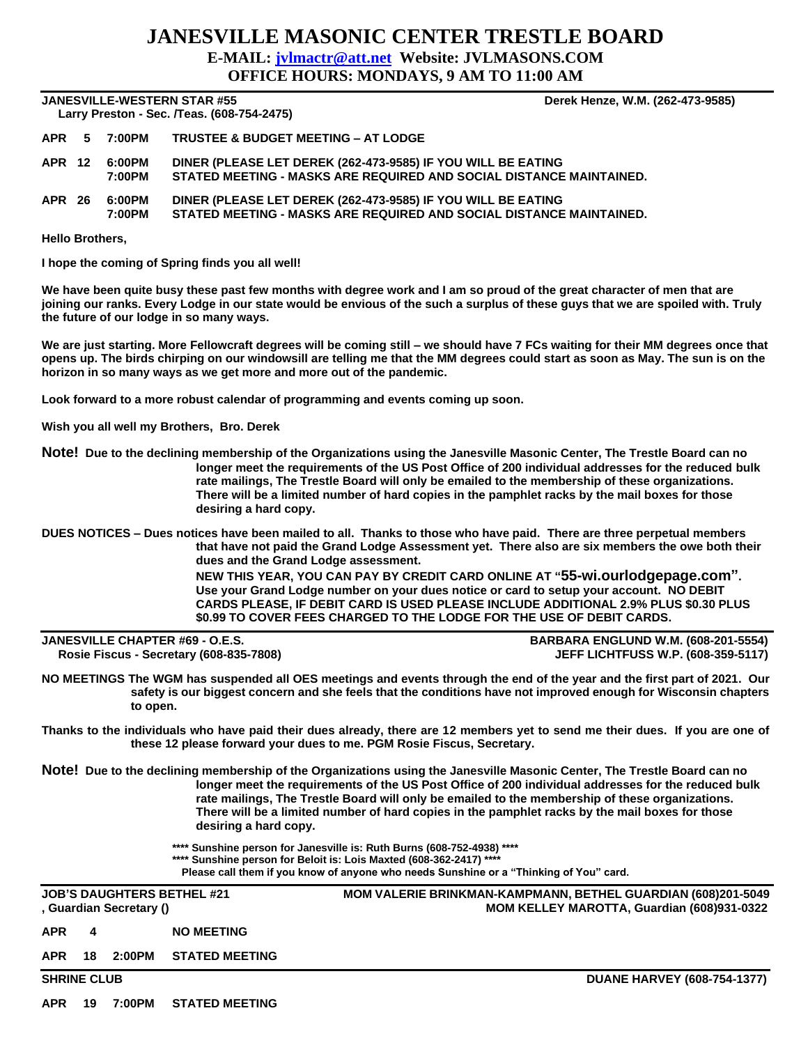## **JANESVILLE MASONIC CENTER TRESTLE BOARD E-MAIL: [jvlmactr@att.net](mailto:jvlmactr@att.net) Website: JVLMASONS.COM OFFICE HOURS: MONDAYS, 9 AM TO 11:00 AM**

## **JANESVILLE-WESTERN STAR #55 Derek Henze, W.M. (262-473-9585) Larry Preston - Sec. /Teas. (608-754-2475)**

| <b>Lally Fiestull - Sec. / I eas. (000-734-2473)</b> |  |                         |                                                                                                                                     |  |
|------------------------------------------------------|--|-------------------------|-------------------------------------------------------------------------------------------------------------------------------------|--|
|                                                      |  |                         | APR 5 7:00PM TRUSTEE & BUDGET MEETING - AT LODGE                                                                                    |  |
|                                                      |  | APR 12 6:00PM<br>7:00PM | DINER (PLEASE LET DEREK (262-473-9585) IF YOU WILL BE EATING<br>STATED MEETING - MASKS ARE REQUIRED AND SOCIAL DISTANCE MAINTAINED. |  |
|                                                      |  | APR 26 6:00PM           | DINER (PLEASE LET DEREK (262-473-9585) IF YOU WILL BE EATING                                                                        |  |

**7:00PM STATED MEETING - MASKS ARE REQUIRED AND SOCIAL DISTANCE MAINTAINED.**

**Hello Brothers,**

**I hope the coming of Spring finds you all well!**

**We have been quite busy these past few months with degree work and I am so proud of the great character of men that are joining our ranks. Every Lodge in our state would be envious of the such a surplus of these guys that we are spoiled with. Truly the future of our lodge in so many ways.**

**We are just starting. More Fellowcraft degrees will be coming still – we should have 7 FCs waiting for their MM degrees once that opens up. The birds chirping on our windowsill are telling me that the MM degrees could start as soon as May. The sun is on the horizon in so many ways as we get more and more out of the pandemic.**

**Look forward to a more robust calendar of programming and events coming up soon.**

**Wish you all well my Brothers, Bro. Derek**

**Note! Due to the declining membership of the Organizations using the Janesville Masonic Center, The Trestle Board can no longer meet the requirements of the US Post Office of 200 individual addresses for the reduced bulk rate mailings, The Trestle Board will only be emailed to the membership of these organizations. There will be a limited number of hard copies in the pamphlet racks by the mail boxes for those desiring a hard copy.**

**DUES NOTICES – Dues notices have been mailed to all. Thanks to those who have paid. There are three perpetual members that have not paid the Grand Lodge Assessment yet. There also are six members the owe both their dues and the Grand Lodge assessment.** 

**NEW THIS YEAR, YOU CAN PAY BY CREDIT CARD ONLINE AT "55-wi.ourlodgepage.com". Use your Grand Lodge number on your dues notice or card to setup your account. NO DEBIT CARDS PLEASE, IF DEBIT CARD IS USED PLEASE INCLUDE ADDITIONAL 2.9% PLUS \$0.30 PLUS \$0.99 TO COVER FEES CHARGED TO THE LODGE FOR THE USE OF DEBIT CARDS.**

| <b>JANESVILLE CHAPTER #69 - O.E.S.</b>  | <b>BARBARA ENGLUND W.M. (608-201-5554)</b> |
|-----------------------------------------|--------------------------------------------|
| Rosie Fiscus - Secretary (608-835-7808) | <b>JEFF LICHTFUSS W.P. (608-359-5117)</b>  |

**NO MEETINGS The WGM has suspended all OES meetings and events through the end of the year and the first part of 2021. Our safety is our biggest concern and she feels that the conditions have not improved enough for Wisconsin chapters to open.** 

**Thanks to the individuals who have paid their dues already, there are 12 members yet to send me their dues. If you are one of these 12 please forward your dues to me. PGM Rosie Fiscus, Secretary.**

**Note! Due to the declining membership of the Organizations using the Janesville Masonic Center, The Trestle Board can no longer meet the requirements of the US Post Office of 200 individual addresses for the reduced bulk rate mailings, The Trestle Board will only be emailed to the membership of these organizations. There will be a limited number of hard copies in the pamphlet racks by the mail boxes for those desiring a hard copy.** 

- **\*\*\*\* Sunshine person for Janesville is: Ruth Burns (608-752-4938) \*\*\*\***
- **\*\*\*\* Sunshine person for Beloit is: Lois Maxted (608-362-2417) \*\*\*\***

**Please call them if you know of anyone who needs Sunshine or a "Thinking of You" card.**

| <b>JOB'S DAUGHTERS BETHEL #21</b><br>, Guardian Secretary () |    |        |                       | <b>MOM VALERIE BRINKMAN-KAMPMANN, BETHEL GUARDIAN (608)201-5049</b><br><b>MOM KELLEY MAROTTA, Guardian (608)931-0322</b> |  |  |  |
|--------------------------------------------------------------|----|--------|-----------------------|--------------------------------------------------------------------------------------------------------------------------|--|--|--|
| <b>APR</b>                                                   | 4  |        | <b>NO MEETING</b>     |                                                                                                                          |  |  |  |
| <b>APR</b>                                                   | 18 | 2:00PM | <b>STATED MEETING</b> |                                                                                                                          |  |  |  |
| <b>SHRINE CLUB</b>                                           |    |        |                       | <b>DUANE HARVEY (608-754-1377)</b>                                                                                       |  |  |  |
| <b>APR</b>                                                   | 19 | 7:00PM | <b>STATED MEETING</b> |                                                                                                                          |  |  |  |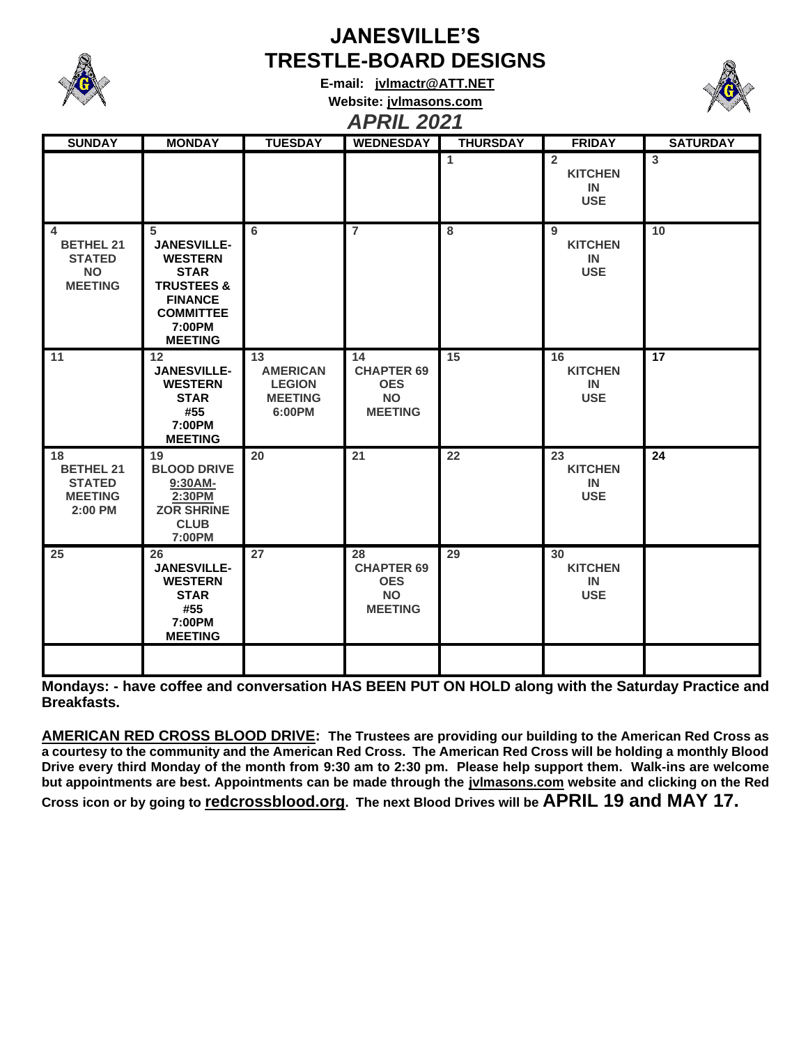

## **JANESVILLE'S TRESTLE-BOARD DESIGNS**

**E-mail: [jvlmactr@ATT.NET](mailto:jvlmactr@ATT.NET) Website: jvlmasons.com** *APRIL 2021*



| <b>SUNDAY</b>                                                                               | <b>MONDAY</b>                                                                                                                                       | <b>TUESDAY</b>                                                     | <b>WEDNESDAY</b>                                                     | <b>THURSDAY</b> | <b>FRIDAY</b>                                        | <b>SATURDAY</b> |
|---------------------------------------------------------------------------------------------|-----------------------------------------------------------------------------------------------------------------------------------------------------|--------------------------------------------------------------------|----------------------------------------------------------------------|-----------------|------------------------------------------------------|-----------------|
|                                                                                             |                                                                                                                                                     |                                                                    |                                                                      | $\mathbf{1}$    | $\overline{2}$<br><b>KITCHEN</b><br>IN<br><b>USE</b> | $\mathbf{3}$    |
| $\overline{\mathbf{4}}$<br><b>BETHEL 21</b><br><b>STATED</b><br><b>NO</b><br><b>MEETING</b> | 5<br><b>JANESVILLE-</b><br><b>WESTERN</b><br><b>STAR</b><br><b>TRUSTEES &amp;</b><br><b>FINANCE</b><br><b>COMMITTEE</b><br>7:00PM<br><b>MEETING</b> | 6                                                                  | $\overline{7}$                                                       | 8               | 9<br><b>KITCHEN</b><br><b>IN</b><br><b>USE</b>       | 10              |
| 11                                                                                          | 12<br><b>JANESVILLE-</b><br><b>WESTERN</b><br><b>STAR</b><br>#55<br>7:00PM<br><b>MEETING</b>                                                        | 13<br><b>AMERICAN</b><br><b>LEGION</b><br><b>MEETING</b><br>6:00PM | 14<br><b>CHAPTER 69</b><br><b>OES</b><br><b>NO</b><br><b>MEETING</b> | 15              | 16<br><b>KITCHEN</b><br>IN<br><b>USE</b>             | $\overline{17}$ |
| 18<br><b>BETHEL 21</b><br><b>STATED</b><br><b>MEETING</b><br>2:00 PM                        | 19<br><b>BLOOD DRIVE</b><br>9:30AM-<br>2:30PM<br><b>ZOR SHRINE</b><br><b>CLUB</b><br>7:00PM                                                         | 20                                                                 | $\overline{21}$                                                      | 22              | 23<br><b>KITCHEN</b><br>IN<br><b>USE</b>             | $\overline{24}$ |
| 25                                                                                          | 26<br><b>JANESVILLE-</b><br><b>WESTERN</b><br><b>STAR</b><br>#55<br>7:00PM<br><b>MEETING</b>                                                        | 27                                                                 | 28<br><b>CHAPTER 69</b><br><b>OES</b><br><b>NO</b><br><b>MEETING</b> | 29              | 30<br><b>KITCHEN</b><br>IN<br><b>USE</b>             |                 |
|                                                                                             |                                                                                                                                                     |                                                                    |                                                                      |                 |                                                      |                 |

**Mondays: - have coffee and conversation HAS BEEN PUT ON HOLD along with the Saturday Practice and Breakfasts.**

**AMERICAN RED CROSS BLOOD DRIVE: The Trustees are providing our building to the American Red Cross as a courtesy to the community and the American Red Cross. The American Red Cross will be holding a monthly Blood Drive every third Monday of the month from 9:30 am to 2:30 pm. Please help support them. Walk-ins are welcome but appointments are best. Appointments can be made through the jvlmasons.com website and clicking on the Red Cross icon or by going to redcrossblood.org. The next Blood Drives will be APRIL 19 and MAY 17.**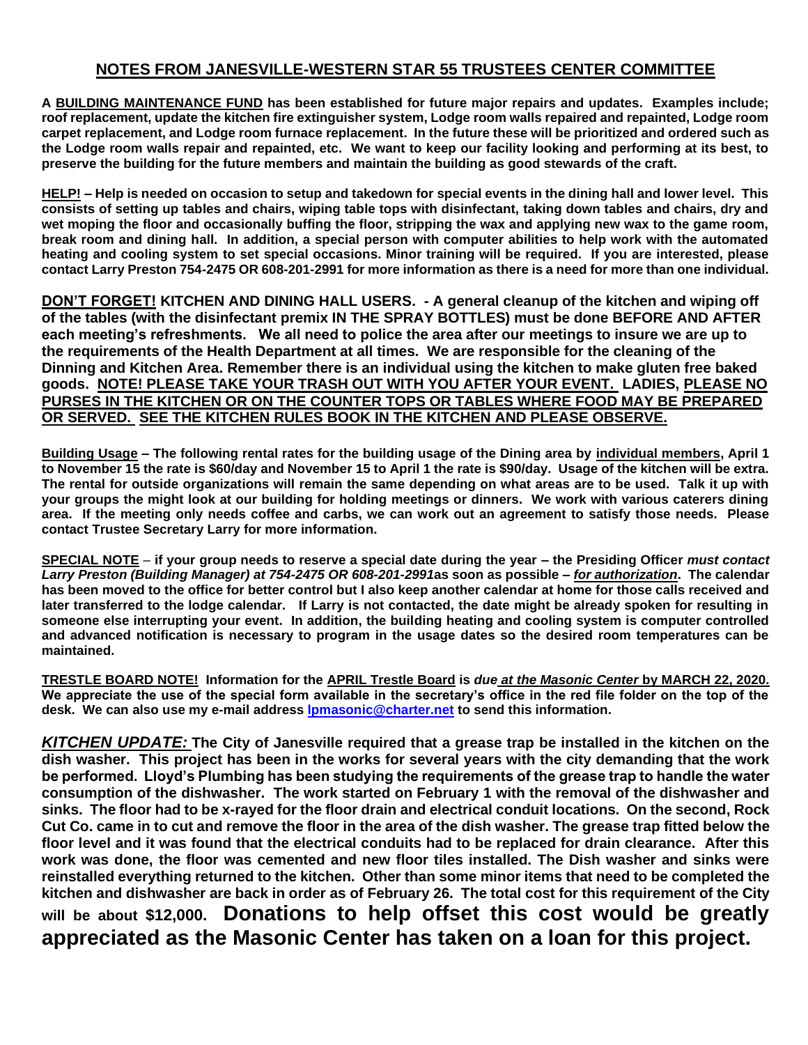## **NOTES FROM JANESVILLE-WESTERN STAR 55 TRUSTEES CENTER COMMITTEE**

**A BUILDING MAINTENANCE FUND has been established for future major repairs and updates. Examples include; roof replacement, update the kitchen fire extinguisher system, Lodge room walls repaired and repainted, Lodge room carpet replacement, and Lodge room furnace replacement. In the future these will be prioritized and ordered such as the Lodge room walls repair and repainted, etc. We want to keep our facility looking and performing at its best, to preserve the building for the future members and maintain the building as good stewards of the craft.** 

**HELP! – Help is needed on occasion to setup and takedown for special events in the dining hall and lower level. This consists of setting up tables and chairs, wiping table tops with disinfectant, taking down tables and chairs, dry and wet moping the floor and occasionally buffing the floor, stripping the wax and applying new wax to the game room, break room and dining hall. In addition, a special person with computer abilities to help work with the automated heating and cooling system to set special occasions. Minor training will be required. If you are interested, please contact Larry Preston 754-2475 OR 608-201-2991 for more information as there is a need for more than one individual.** 

**DON'T FORGET! KITCHEN AND DINING HALL USERS. - A general cleanup of the kitchen and wiping off of the tables (with the disinfectant premix IN THE SPRAY BOTTLES) must be done BEFORE AND AFTER each meeting's refreshments. We all need to police the area after our meetings to insure we are up to the requirements of the Health Department at all times. We are responsible for the cleaning of the Dinning and Kitchen Area. Remember there is an individual using the kitchen to make gluten free baked goods. NOTE! PLEASE TAKE YOUR TRASH OUT WITH YOU AFTER YOUR EVENT. LADIES, PLEASE NO PURSES IN THE KITCHEN OR ON THE COUNTER TOPS OR TABLES WHERE FOOD MAY BE PREPARED OR SERVED. SEE THE KITCHEN RULES BOOK IN THE KITCHEN AND PLEASE OBSERVE.**

**Building Usage – The following rental rates for the building usage of the Dining area by individual members, April 1 to November 15 the rate is \$60/day and November 15 to April 1 the rate is \$90/day. Usage of the kitchen will be extra. The rental for outside organizations will remain the same depending on what areas are to be used. Talk it up with your groups the might look at our building for holding meetings or dinners. We work with various caterers dining area. If the meeting only needs coffee and carbs, we can work out an agreement to satisfy those needs. Please contact Trustee Secretary Larry for more information.** 

**SPECIAL NOTE** – **if your group needs to reserve a special date during the year – the Presiding Officer** *must contact Larry Preston (Building Manager) at 754-2475 OR 608-201-2991***as soon as possible –** *for authorization***. The calendar has been moved to the office for better control but I also keep another calendar at home for those calls received and later transferred to the lodge calendar. If Larry is not contacted, the date might be already spoken for resulting in someone else interrupting your event. In addition, the building heating and cooling system is computer controlled and advanced notification is necessary to program in the usage dates so the desired room temperatures can be maintained.**

**TRESTLE BOARD NOTE! Information for the APRIL Trestle Board is** *due at the Masonic Center* **by MARCH 22, 2020. We appreciate the use of the special form available in the secretary's office in the red file folder on the top of the desk. We can also use my e-mail address [lpmasonic@charter.net](file:///C:/Western%20Star%20Lodge/Trestleboard/lpmasonic@charter.net) to send this information.** 

*KITCHEN UPDATE:* **The City of Janesville required that a grease trap be installed in the kitchen on the dish washer. This project has been in the works for several years with the city demanding that the work be performed. Lloyd's Plumbing has been studying the requirements of the grease trap to handle the water consumption of the dishwasher. The work started on February 1 with the removal of the dishwasher and sinks. The floor had to be x-rayed for the floor drain and electrical conduit locations. On the second, Rock Cut Co. came in to cut and remove the floor in the area of the dish washer. The grease trap fitted below the floor level and it was found that the electrical conduits had to be replaced for drain clearance. After this work was done, the floor was cemented and new floor tiles installed. The Dish washer and sinks were reinstalled everything returned to the kitchen. Other than some minor items that need to be completed the kitchen and dishwasher are back in order as of February 26. The total cost for this requirement of the City will be about \$12,000. Donations to help offset this cost would be greatly appreciated as the Masonic Center has taken on a loan for this project.**